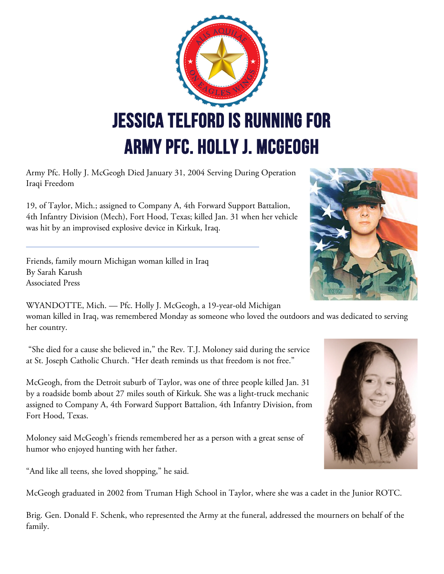

Army Pfc. Holly J. McGeogh Died January 31, 2004 Serving During Operation Iraqi Freedom

19, of Taylor, Mich.; assigned to Company A, 4th Forward Support Battalion, 4th Infantry Division (Mech), Fort Hood, Texas; killed Jan. 31 when her vehicle was hit by an improvised explosive device in Kirkuk, Iraq.

Friends, family mourn Michigan woman killed in Iraq By Sarah Karush Associated Press



WYANDOTTE, Mich. — Pfc. Holly J. McGeogh, a 19-year-old Michigan woman killed in Iraq, was remembered Monday as someone who loved the outdoors and was dedicated to serving her country.

"She died for a cause she believed in," the Rev. T.J. Moloney said during the service at St. Joseph Catholic Church. "Her death reminds us that freedom is not free."

McGeogh, from the Detroit suburb of Taylor, was one of three people killed Jan. 31 by a roadside bomb about 27 miles south of Kirkuk. She was a light-truck mechanic assigned to Company A, 4th Forward Support Battalion, 4th Infantry Division, from Fort Hood, Texas.

Moloney said McGeogh's friends remembered her as a person with a great sense of humor who enjoyed hunting with her father.

"And like all teens, she loved shopping," he said.

McGeogh graduated in 2002 from Truman High School in Taylor, where she was a cadet in the Junior ROTC.

Brig. Gen. Donald F. Schenk, who represented the Army at the funeral, addressed the mourners on behalf of the family.

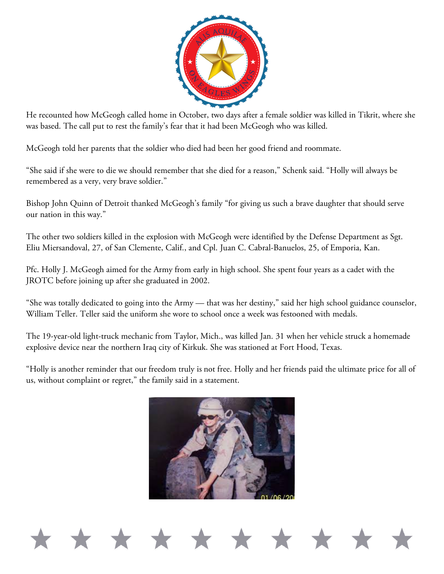

He recounted how McGeogh called home in October, two days after a female soldier was killed in Tikrit, where she was based. The call put to rest the family's fear that it had been McGeogh who was killed.

McGeogh told her parents that the soldier who died had been her good friend and roommate.

"She said if she were to die we should remember that she died for a reason," Schenk said. "Holly will always be remembered as a very, very brave soldier."

Bishop John Quinn of Detroit thanked McGeogh's family "for giving us such a brave daughter that should serve our nation in this way."

The other two soldiers killed in the explosion with McGeogh were identified by the Defense Department as Sgt. Eliu Miersandoval, 27, of San Clemente, Calif., and Cpl. Juan C. Cabral-Banuelos, 25, of Emporia, Kan.

Pfc. Holly J. McGeogh aimed for the Army from early in high school. She spent four years as a cadet with the JROTC before joining up after she graduated in 2002.

"She was totally dedicated to going into the Army — that was her destiny," said her high school guidance counselor, William Teller. Teller said the uniform she wore to school once a week was festooned with medals.

The 19-year-old light-truck mechanic from Taylor, Mich., was killed Jan. 31 when her vehicle struck a homemade explosive device near the northern Iraq city of Kirkuk. She was stationed at Fort Hood, Texas.

"Holly is another reminder that our freedom truly is not free. Holly and her friends paid the ultimate price for all of us, without complaint or regret," the family said in a statement.

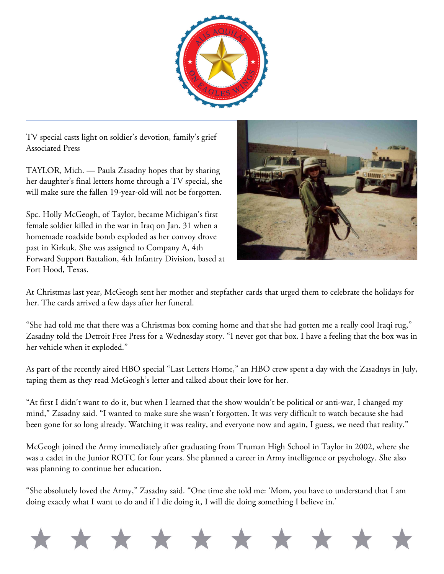

TV special casts light on soldier's devotion, family's grief Associated Press

TAYLOR, Mich. — Paula Zasadny hopes that by sharing her daughter's final letters home through a TV special, she will make sure the fallen 19-year-old will not be forgotten.

Spc. Holly McGeogh, of Taylor, became Michigan's first female soldier killed in the war in Iraq on Jan. 31 when a homemade roadside bomb exploded as her convoy drove past in Kirkuk. She was assigned to Company A, 4th Forward Support Battalion, 4th Infantry Division, based at Fort Hood, Texas.



At Christmas last year, McGeogh sent her mother and stepfather cards that urged them to celebrate the holidays for her. The cards arrived a few days after her funeral.

"She had told me that there was a Christmas box coming home and that she had gotten me a really cool Iraqi rug," Zasadny told the Detroit Free Press for a Wednesday story. "I never got that box. I have a feeling that the box was in her vehicle when it exploded."

As part of the recently aired HBO special "Last Letters Home," an HBO crew spent a day with the Zasadnys in July, taping them as they read McGeogh's letter and talked about their love for her.

"At first I didn't want to do it, but when I learned that the show wouldn't be political or anti-war, I changed my mind," Zasadny said. "I wanted to make sure she wasn't forgotten. It was very difficult to watch because she had been gone for so long already. Watching it was reality, and everyone now and again, I guess, we need that reality."

McGeogh joined the Army immediately after graduating from Truman High School in Taylor in 2002, where she was a cadet in the Junior ROTC for four years. She planned a career in Army intelligence or psychology. She also was planning to continue her education.

"She absolutely loved the Army," Zasadny said. "One time she told me: 'Mom, you have to understand that I am doing exactly what I want to do and if I die doing it, I will die doing something I believe in.'